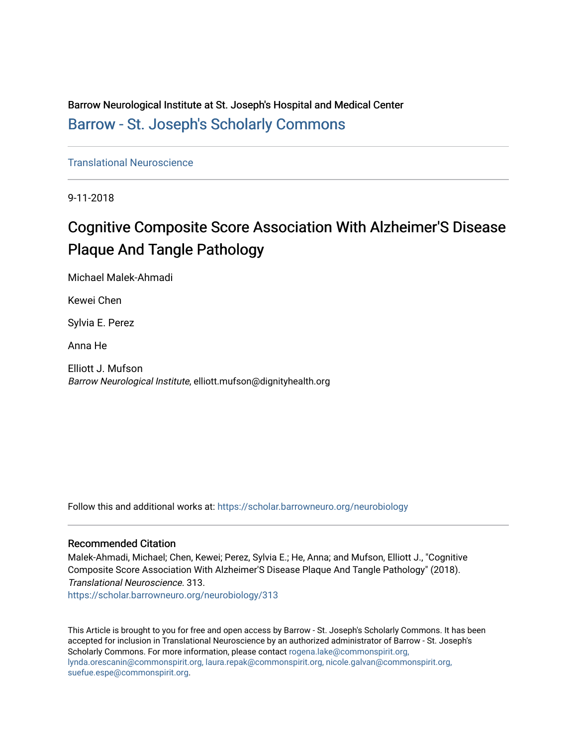Barrow Neurological Institute at St. Joseph's Hospital and Medical Center [Barrow - St. Joseph's Scholarly Commons](https://scholar.barrowneuro.org/) 

[Translational Neuroscience](https://scholar.barrowneuro.org/neurobiology)

9-11-2018

## Cognitive Composite Score Association With Alzheimer'S Disease Plaque And Tangle Pathology

Michael Malek-Ahmadi

Kewei Chen

Sylvia E. Perez

Anna He

Elliott J. Mufson Barrow Neurological Institute, elliott.mufson@dignityhealth.org

Follow this and additional works at: [https://scholar.barrowneuro.org/neurobiology](https://scholar.barrowneuro.org/neurobiology?utm_source=scholar.barrowneuro.org%2Fneurobiology%2F313&utm_medium=PDF&utm_campaign=PDFCoverPages)

## Recommended Citation

Malek-Ahmadi, Michael; Chen, Kewei; Perez, Sylvia E.; He, Anna; and Mufson, Elliott J., "Cognitive Composite Score Association With Alzheimer'S Disease Plaque And Tangle Pathology" (2018). Translational Neuroscience. 313.

[https://scholar.barrowneuro.org/neurobiology/313](https://scholar.barrowneuro.org/neurobiology/313?utm_source=scholar.barrowneuro.org%2Fneurobiology%2F313&utm_medium=PDF&utm_campaign=PDFCoverPages)

This Article is brought to you for free and open access by Barrow - St. Joseph's Scholarly Commons. It has been accepted for inclusion in Translational Neuroscience by an authorized administrator of Barrow - St. Joseph's Scholarly Commons. For more information, please contact [rogena.lake@commonspirit.org,](mailto:rogena.lake@commonspirit.org,%20lynda.orescanin@commonspirit.org,%20laura.repak@commonspirit.org,%20nicole.galvan@commonspirit.org,%20suefue.espe@commonspirit.org) [lynda.orescanin@commonspirit.org, laura.repak@commonspirit.org, nicole.galvan@commonspirit.org,](mailto:rogena.lake@commonspirit.org,%20lynda.orescanin@commonspirit.org,%20laura.repak@commonspirit.org,%20nicole.galvan@commonspirit.org,%20suefue.espe@commonspirit.org)  [suefue.espe@commonspirit.org](mailto:rogena.lake@commonspirit.org,%20lynda.orescanin@commonspirit.org,%20laura.repak@commonspirit.org,%20nicole.galvan@commonspirit.org,%20suefue.espe@commonspirit.org).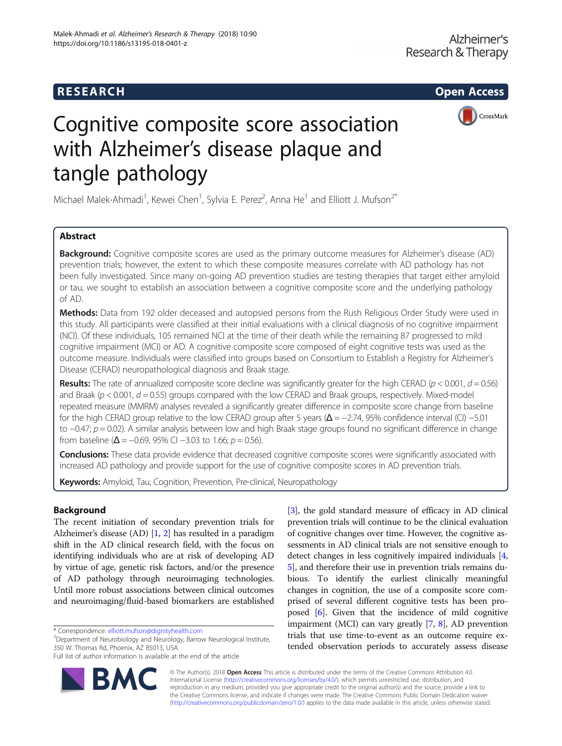

# Cognitive composite score association with Alzheimer's disease plaque and tangle pathology

Michael Malek-Ahmadi<sup>1</sup>, Kewei Chen<sup>1</sup>, Sylvia E. Perez<sup>2</sup>, Anna He<sup>1</sup> and Elliott J. Mufson<sup>2\*</sup>

## Abstract

Background: Cognitive composite scores are used as the primary outcome measures for Alzheimer's disease (AD) prevention trials; however, the extent to which these composite measures correlate with AD pathology has not been fully investigated. Since many on-going AD prevention studies are testing therapies that target either amyloid or tau, we sought to establish an association between a cognitive composite score and the underlying pathology of AD.

Methods: Data from 192 older deceased and autopsied persons from the Rush Religious Order Study were used in this study. All participants were classified at their initial evaluations with a clinical diagnosis of no cognitive impairment (NCI). Of these individuals, 105 remained NCI at the time of their death while the remaining 87 progressed to mild cognitive impairment (MCI) or AD. A cognitive composite score composed of eight cognitive tests was used as the outcome measure. Individuals were classified into groups based on Consortium to Establish a Registry for Alzheimer's Disease (CERAD) neuropathological diagnosis and Braak stage.

**Results:** The rate of annualized composite score decline was significantly greater for the high CERAD ( $p < 0.001$ ,  $d = 0.56$ ) and Braak ( $p < 0.001$ ,  $d = 0.55$ ) groups compared with the low CERAD and Braak groups, respectively. Mixed-model repeated measure (MMRM) analyses revealed a significantly greater difference in composite score change from baseline for the high CERAD group relative to the low CERAD group after 5 years ( $\Delta = -2.74$ , 95% confidence interval (CI) –5.01 to −0.47; p = 0.02). A similar analysis between low and high Braak stage groups found no significant difference in change from baseline ( $\Delta$  = -0.69, 95% CI -3.03 to 1.66;  $p = 0.56$ ).

Conclusions: These data provide evidence that decreased cognitive composite scores were significantly associated with increased AD pathology and provide support for the use of cognitive composite scores in AD prevention trials.

Keywords: Amyloid, Tau, Cognition, Prevention, Pre-clinical, Neuropathology

## Background

The recent initiation of secondary prevention trials for Alzheimer's disease (AD) [\[1](#page-11-0), [2\]](#page-11-0) has resulted in a paradigm shift in the AD clinical research field, with the focus on identifying individuals who are at risk of developing AD by virtue of age, genetic risk factors, and/or the presence of AD pathology through neuroimaging technologies. Until more robust associations between clinical outcomes and neuroimaging/fluid-based biomarkers are established

\* Correspondence: [elliott.mufson@dignityhealth.com](mailto:elliott.mufson@dignityhealth.com) <sup>2</sup>

 $2$ Department of Neurobiology and Neurology, Barrow Neurological Institute, 350 W. Thomas Rd, Phoenix, AZ 85013, USA

Full list of author information is available at the end of the article



[[3\]](#page-11-0), the gold standard measure of efficacy in AD clinical prevention trials will continue to be the clinical evaluation of cognitive changes over time. However, the cognitive assessments in AD clinical trials are not sensitive enough to detect changes in less cognitively impaired individuals [[4](#page-11-0), [5\]](#page-11-0), and therefore their use in prevention trials remains dubious. To identify the earliest clinically meaningful changes in cognition, the use of a composite score comprised of several different cognitive tests has been proposed [[6\]](#page-11-0). Given that the incidence of mild cognitive impairment (MCI) can vary greatly [\[7](#page-11-0), [8](#page-11-0)], AD prevention trials that use time-to-event as an outcome require extended observation periods to accurately assess disease

© The Author(s). 2018 Open Access This article is distributed under the terms of the Creative Commons Attribution 4.0 International License [\(http://creativecommons.org/licenses/by/4.0/](http://creativecommons.org/licenses/by/4.0/)), which permits unrestricted use, distribution, and reproduction in any medium, provided you give appropriate credit to the original author(s) and the source, provide a link to the Creative Commons license, and indicate if changes were made. The Creative Commons Public Domain Dedication waiver [\(http://creativecommons.org/publicdomain/zero/1.0/](http://creativecommons.org/publicdomain/zero/1.0/)) applies to the data made available in this article, unless otherwise stated.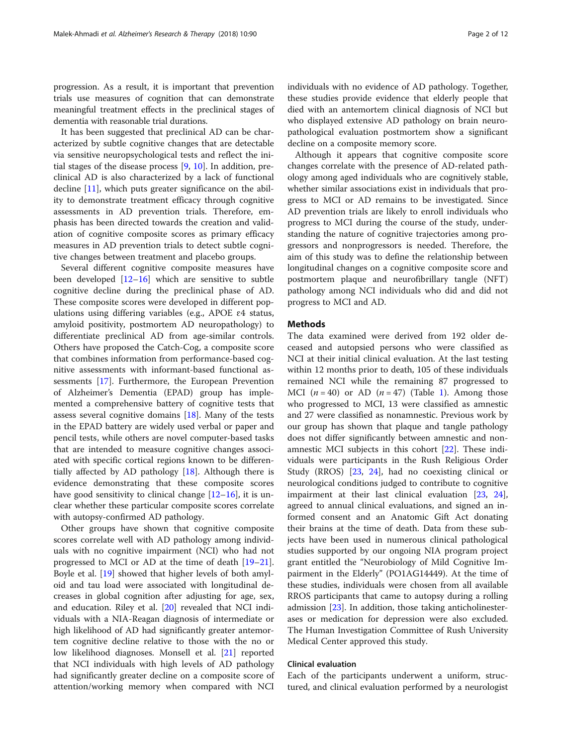progression. As a result, it is important that prevention trials use measures of cognition that can demonstrate meaningful treatment effects in the preclinical stages of dementia with reasonable trial durations.

It has been suggested that preclinical AD can be characterized by subtle cognitive changes that are detectable via sensitive neuropsychological tests and reflect the initial stages of the disease process [[9,](#page-11-0) [10\]](#page-11-0). In addition, preclinical AD is also characterized by a lack of functional decline [\[11](#page-11-0)], which puts greater significance on the ability to demonstrate treatment efficacy through cognitive assessments in AD prevention trials. Therefore, emphasis has been directed towards the creation and validation of cognitive composite scores as primary efficacy measures in AD prevention trials to detect subtle cognitive changes between treatment and placebo groups.

Several different cognitive composite measures have been developed  $[12-16]$  $[12-16]$  $[12-16]$  $[12-16]$  which are sensitive to subtle cognitive decline during the preclinical phase of AD. These composite scores were developed in different populations using differing variables (e.g., APOE ɛ4 status, amyloid positivity, postmortem AD neuropathology) to differentiate preclinical AD from age-similar controls. Others have proposed the Catch-Cog, a composite score that combines information from performance-based cognitive assessments with informant-based functional assessments [[17](#page-11-0)]. Furthermore, the European Prevention of Alzheimer's Dementia (EPAD) group has implemented a comprehensive battery of cognitive tests that assess several cognitive domains  $[18]$ . Many of the tests in the EPAD battery are widely used verbal or paper and pencil tests, while others are novel computer-based tasks that are intended to measure cognitive changes associated with specific cortical regions known to be differentially affected by AD pathology [[18](#page-11-0)]. Although there is evidence demonstrating that these composite scores have good sensitivity to clinical change  $[12–16]$  $[12–16]$  $[12–16]$  $[12–16]$  $[12–16]$ , it is unclear whether these particular composite scores correlate with autopsy-confirmed AD pathology.

Other groups have shown that cognitive composite scores correlate well with AD pathology among individuals with no cognitive impairment (NCI) who had not progressed to MCI or AD at the time of death [[19](#page-11-0)–[21](#page-11-0)]. Boyle et al. [[19\]](#page-11-0) showed that higher levels of both amyloid and tau load were associated with longitudinal decreases in global cognition after adjusting for age, sex, and education. Riley et al. [\[20](#page-11-0)] revealed that NCI individuals with a NIA-Reagan diagnosis of intermediate or high likelihood of AD had significantly greater antemortem cognitive decline relative to those with the no or low likelihood diagnoses. Monsell et al. [\[21](#page-11-0)] reported that NCI individuals with high levels of AD pathology had significantly greater decline on a composite score of attention/working memory when compared with NCI individuals with no evidence of AD pathology. Together, these studies provide evidence that elderly people that died with an antemortem clinical diagnosis of NCI but who displayed extensive AD pathology on brain neuropathological evaluation postmortem show a significant decline on a composite memory score.

Although it appears that cognitive composite score changes correlate with the presence of AD-related pathology among aged individuals who are cognitively stable, whether similar associations exist in individuals that progress to MCI or AD remains to be investigated. Since AD prevention trials are likely to enroll individuals who progress to MCI during the course of the study, understanding the nature of cognitive trajectories among progressors and nonprogressors is needed. Therefore, the aim of this study was to define the relationship between longitudinal changes on a cognitive composite score and postmortem plaque and neurofibrillary tangle (NFT) pathology among NCI individuals who did and did not progress to MCI and AD.

#### **Methods**

The data examined were derived from 192 older deceased and autopsied persons who were classified as NCI at their initial clinical evaluation. At the last testing within 12 months prior to death, 105 of these individuals remained NCI while the remaining 87 progressed to MCI  $(n = 40)$  or AD  $(n = 47)$  (Table [1\)](#page-3-0). Among those who progressed to MCI, 13 were classified as amnestic and 27 were classified as nonamnestic. Previous work by our group has shown that plaque and tangle pathology does not differ significantly between amnestic and nonamnestic MCI subjects in this cohort [\[22\]](#page-11-0). These individuals were participants in the Rush Religious Order Study (RROS) [\[23](#page-11-0), [24\]](#page-11-0), had no coexisting clinical or neurological conditions judged to contribute to cognitive impairment at their last clinical evaluation [\[23,](#page-11-0) [24](#page-11-0)], agreed to annual clinical evaluations, and signed an informed consent and an Anatomic Gift Act donating their brains at the time of death. Data from these subjects have been used in numerous clinical pathological studies supported by our ongoing NIA program project grant entitled the "Neurobiology of Mild Cognitive Impairment in the Elderly" (PO1AG14449). At the time of these studies, individuals were chosen from all available RROS participants that came to autopsy during a rolling admission [\[23\]](#page-11-0). In addition, those taking anticholinesterases or medication for depression were also excluded. The Human Investigation Committee of Rush University Medical Center approved this study.

## Clinical evaluation

Each of the participants underwent a uniform, structured, and clinical evaluation performed by a neurologist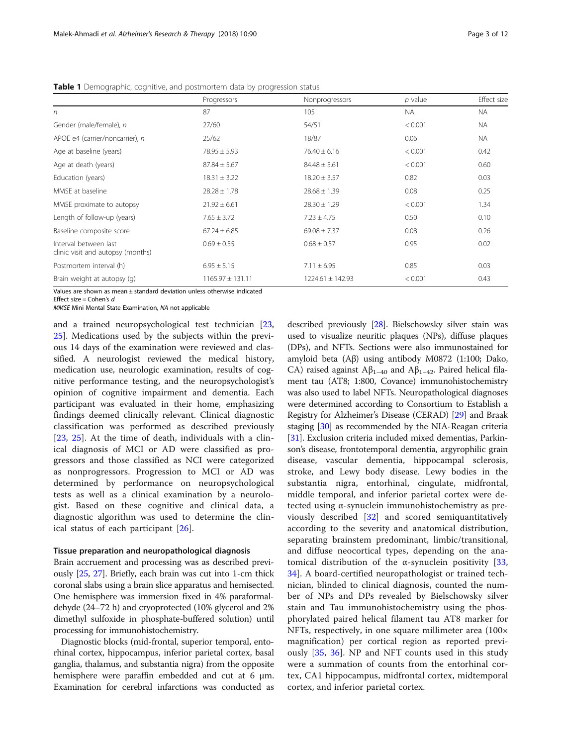|                                                            | Progressors          | Nonprogressors       | $p$ value | Effect size |
|------------------------------------------------------------|----------------------|----------------------|-----------|-------------|
| $\sqrt{n}$                                                 | 87                   | 105                  | <b>NA</b> | <b>NA</b>   |
| Gender (male/female), n                                    | 27/60                | 54/51                | < 0.001   | <b>NA</b>   |
| APOE e4 (carrier/noncarrier), n                            | 25/62                | 18/87                | 0.06      | <b>NA</b>   |
| Age at baseline (years)                                    | $78.95 \pm 5.93$     | $76.40 \pm 6.16$     | < 0.001   | 0.42        |
| Age at death (years)                                       | $87.84 \pm 5.67$     | $84.48 \pm 5.61$     | < 0.001   | 0.60        |
| Education (years)                                          | $18.31 \pm 3.22$     | $18.20 \pm 3.57$     | 0.82      | 0.03        |
| MMSF at baseline                                           | $28.28 \pm 1.78$     | $28.68 \pm 1.39$     | 0.08      | 0.25        |
| MMSE proximate to autopsy                                  | $21.92 \pm 6.61$     | $28.30 \pm 1.29$     | < 0.001   | 1.34        |
| Length of follow-up (years)                                | $7.65 \pm 3.72$      | $7.23 \pm 4.75$      | 0.50      | 0.10        |
| Baseline composite score                                   | $67.24 \pm 6.85$     | $69.08 \pm 7.37$     | 0.08      | 0.26        |
| Interval between last<br>clinic visit and autopsy (months) | $0.69 \pm 0.55$      | $0.68 \pm 0.57$      | 0.95      | 0.02        |
| Postmortem interval (h)                                    | $6.95 \pm 5.15$      | $7.11 \pm 6.95$      | 0.85      | 0.03        |
| Brain weight at autopsy (g)                                | $1165.97 \pm 131.11$ | $1224.61 \pm 142.93$ | < 0.001   | 0.43        |

<span id="page-3-0"></span>Table 1 Demographic, cognitive, and postmortem data by progression status

Values are shown as mean ± standard deviation unless otherwise indicated

Effect size  $=$  Cohen's d

MMSE Mini Mental State Examination, NA not applicable

and a trained neuropsychological test technician [[23](#page-11-0), [25\]](#page-11-0). Medications used by the subjects within the previous 14 days of the examination were reviewed and classified. A neurologist reviewed the medical history, medication use, neurologic examination, results of cognitive performance testing, and the neuropsychologist's opinion of cognitive impairment and dementia. Each participant was evaluated in their home, emphasizing findings deemed clinically relevant. Clinical diagnostic classification was performed as described previously [[23,](#page-11-0) [25](#page-11-0)]. At the time of death, individuals with a clinical diagnosis of MCI or AD were classified as progressors and those classified as NCI were categorized as nonprogressors. Progression to MCI or AD was determined by performance on neuropsychological tests as well as a clinical examination by a neurologist. Based on these cognitive and clinical data, a diagnostic algorithm was used to determine the clinical status of each participant [\[26](#page-11-0)].

#### Tissue preparation and neuropathological diagnosis

Brain accruement and processing was as described previously [[25](#page-11-0), [27](#page-11-0)]. Briefly, each brain was cut into 1-cm thick coronal slabs using a brain slice apparatus and hemisected. One hemisphere was immersion fixed in 4% paraformaldehyde (24–72 h) and cryoprotected (10% glycerol and 2% dimethyl sulfoxide in phosphate-buffered solution) until processing for immunohistochemistry.

Diagnostic blocks (mid-frontal, superior temporal, entorhinal cortex, hippocampus, inferior parietal cortex, basal ganglia, thalamus, and substantia nigra) from the opposite hemisphere were paraffin embedded and cut at 6 μm. Examination for cerebral infarctions was conducted as described previously [\[28](#page-11-0)]. Bielschowsky silver stain was used to visualize neuritic plaques (NPs), diffuse plaques (DPs), and NFTs. Sections were also immunostained for amyloid beta (Aβ) using antibody M0872 (1:100; Dako, CA) raised against  $A\beta_{1-40}$  and  $A\beta_{1-42}$ . Paired helical filament tau (AT8; 1:800, Covance) immunohistochemistry was also used to label NFTs. Neuropathological diagnoses were determined according to Consortium to Establish a Registry for Alzheimer's Disease (CERAD) [[29\]](#page-11-0) and Braak staging [\[30](#page-11-0)] as recommended by the NIA-Reagan criteria [[31](#page-11-0)]. Exclusion criteria included mixed dementias, Parkinson's disease, frontotemporal dementia, argyrophilic grain disease, vascular dementia, hippocampal sclerosis, stroke, and Lewy body disease. Lewy bodies in the substantia nigra, entorhinal, cingulate, midfrontal, middle temporal, and inferior parietal cortex were detected using α-synuclein immunohistochemistry as previously described [[32\]](#page-11-0) and scored semiquantitatively according to the severity and anatomical distribution, separating brainstem predominant, limbic/transitional, and diffuse neocortical types, depending on the anatomical distribution of the α-synuclein positivity [\[33](#page-11-0), [34\]](#page-11-0). A board-certified neuropathologist or trained technician, blinded to clinical diagnosis, counted the number of NPs and DPs revealed by Bielschowsky silver stain and Tau immunohistochemistry using the phosphorylated paired helical filament tau AT8 marker for NFTs, respectively, in one square millimeter area (100× magnification) per cortical region as reported previously [[35,](#page-11-0) [36](#page-11-0)]. NP and NFT counts used in this study were a summation of counts from the entorhinal cortex, CA1 hippocampus, midfrontal cortex, midtemporal cortex, and inferior parietal cortex.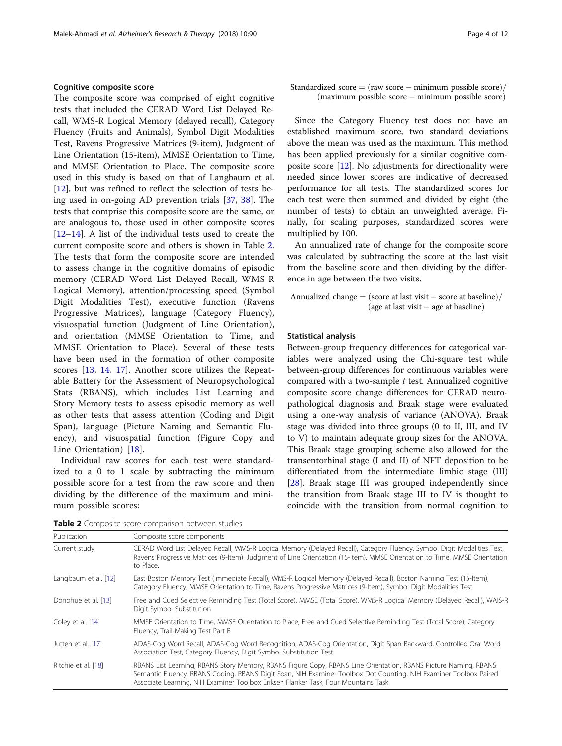#### Cognitive composite score

The composite score was comprised of eight cognitive tests that included the CERAD Word List Delayed Recall, WMS-R Logical Memory (delayed recall), Category Fluency (Fruits and Animals), Symbol Digit Modalities Test, Ravens Progressive Matrices (9-item), Judgment of Line Orientation (15-item), MMSE Orientation to Time, and MMSE Orientation to Place. The composite score used in this study is based on that of Langbaum et al. [[12\]](#page-11-0), but was refined to reflect the selection of tests being used in on-going AD prevention trials [[37,](#page-12-0) [38](#page-12-0)]. The tests that comprise this composite score are the same, or are analogous to, those used in other composite scores [[12](#page-11-0)–[14](#page-11-0)]. A list of the individual tests used to create the current composite score and others is shown in Table 2. The tests that form the composite score are intended to assess change in the cognitive domains of episodic memory (CERAD Word List Delayed Recall, WMS-R Logical Memory), attention/processing speed (Symbol Digit Modalities Test), executive function (Ravens Progressive Matrices), language (Category Fluency), visuospatial function (Judgment of Line Orientation), and orientation (MMSE Orientation to Time, and MMSE Orientation to Place). Several of these tests have been used in the formation of other composite scores [[13,](#page-11-0) [14,](#page-11-0) [17\]](#page-11-0). Another score utilizes the Repeatable Battery for the Assessment of Neuropsychological Stats (RBANS), which includes List Learning and Story Memory tests to assess episodic memory as well as other tests that assess attention (Coding and Digit Span), language (Picture Naming and Semantic Fluency), and visuospatial function (Figure Copy and Line Orientation) [[18\]](#page-11-0).

Individual raw scores for each test were standardized to a 0 to 1 scale by subtracting the minimum possible score for a test from the raw score and then dividing by the difference of the maximum and minimum possible scores:

Standardized  $score = (raw score - minimum possible score)$ (maximum possible score - minimum possible score)

Since the Category Fluency test does not have an established maximum score, two standard deviations above the mean was used as the maximum. This method has been applied previously for a similar cognitive composite score [\[12\]](#page-11-0). No adjustments for directionality were needed since lower scores are indicative of decreased performance for all tests. The standardized scores for each test were then summed and divided by eight (the number of tests) to obtain an unweighted average. Finally, for scaling purposes, standardized scores were multiplied by 100.

An annualized rate of change for the composite score was calculated by subtracting the score at the last visit from the baseline score and then dividing by the difference in age between the two visits.

Annualized change  $=$   $(\text{score at last visit} - \text{score at baseline})$  $(\text{age at last visit} - \text{age at baseline})$ 

#### Statistical analysis

Between-group frequency differences for categorical variables were analyzed using the Chi-square test while between-group differences for continuous variables were compared with a two-sample  $t$  test. Annualized cognitive composite score change differences for CERAD neuropathological diagnosis and Braak stage were evaluated using a one-way analysis of variance (ANOVA). Braak stage was divided into three groups (0 to II, III, and IV to V) to maintain adequate group sizes for the ANOVA. This Braak stage grouping scheme also allowed for the transentorhinal stage (I and II) of NFT deposition to be differentiated from the intermediate limbic stage (III) [[28\]](#page-11-0). Braak stage III was grouped independently since the transition from Braak stage III to IV is thought to coincide with the transition from normal cognition to

Table 2 Composite score comparison between studies

| Publication          | Composite score components                                                                                                                                                                                                                                                                                                |
|----------------------|---------------------------------------------------------------------------------------------------------------------------------------------------------------------------------------------------------------------------------------------------------------------------------------------------------------------------|
| Current study        | CERAD Word List Delayed Recall, WMS-R Logical Memory (Delayed Recall), Category Fluency, Symbol Digit Modalities Test,<br>Ravens Progressive Matrices (9-Item), Judgment of Line Orientation (15-Item), MMSE Orientation to Time, MMSE Orientation<br>to Place.                                                           |
| Langbaum et al. [12] | East Boston Memory Test (Immediate Recall), WMS-R Logical Memory (Delayed Recall), Boston Naming Test (15-Item),<br>Category Fluency, MMSE Orientation to Time, Ravens Progressive Matrices (9-Item), Symbol Digit Modalities Test                                                                                        |
| Donohue et al. [13]  | Free and Cued Selective Reminding Test (Total Score), MMSE (Total Score), WMS-R Logical Memory (Delayed Recall), WAIS-R<br>Digit Symbol Substitution                                                                                                                                                                      |
| Coley et al. [14]    | MMSE Orientation to Time, MMSE Orientation to Place, Free and Cued Selective Reminding Test (Total Score), Category<br>Fluency, Trail-Making Test Part B                                                                                                                                                                  |
| Jutten et al. [17]   | ADAS-Cog Word Recall, ADAS-Cog Word Recognition, ADAS-Cog Orientation, Digit Span Backward, Controlled Oral Word<br>Association Test, Category Fluency, Digit Symbol Substitution Test                                                                                                                                    |
| Ritchie et al. [18]  | RBANS List Learning, RBANS Story Memory, RBANS Figure Copy, RBANS Line Orientation, RBANS Picture Naming, RBANS<br>Semantic Fluency, RBANS Coding, RBANS Digit Span, NIH Examiner Toolbox Dot Counting, NIH Examiner Toolbox Paired<br>Associate Learning, NIH Examiner Toolbox Eriksen Flanker Task, Four Mountains Task |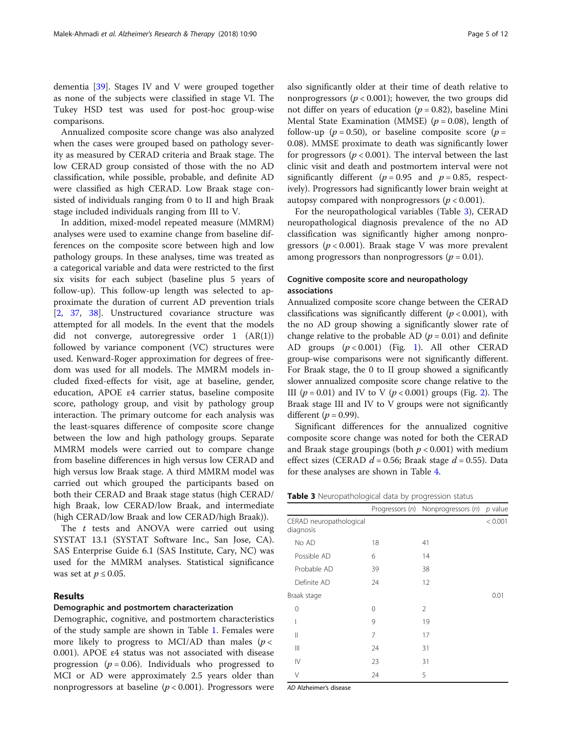dementia [[39\]](#page-12-0). Stages IV and V were grouped together as none of the subjects were classified in stage VI. The Tukey HSD test was used for post-hoc group-wise comparisons.

Annualized composite score change was also analyzed when the cases were grouped based on pathology severity as measured by CERAD criteria and Braak stage. The low CERAD group consisted of those with the no AD classification, while possible, probable, and definite AD were classified as high CERAD. Low Braak stage consisted of individuals ranging from 0 to II and high Braak stage included individuals ranging from III to V.

In addition, mixed-model repeated measure (MMRM) analyses were used to examine change from baseline differences on the composite score between high and low pathology groups. In these analyses, time was treated as a categorical variable and data were restricted to the first six visits for each subject (baseline plus 5 years of follow-up). This follow-up length was selected to approximate the duration of current AD prevention trials [[2,](#page-11-0) [37](#page-12-0), [38](#page-12-0)]. Unstructured covariance structure was attempted for all models. In the event that the models did not converge, autoregressive order 1 (AR(1)) followed by variance component (VC) structures were used. Kenward-Roger approximation for degrees of freedom was used for all models. The MMRM models included fixed-effects for visit, age at baseline, gender, education, APOE ε4 carrier status, baseline composite score, pathology group, and visit by pathology group interaction. The primary outcome for each analysis was the least-squares difference of composite score change between the low and high pathology groups. Separate MMRM models were carried out to compare change from baseline differences in high versus low CERAD and high versus low Braak stage. A third MMRM model was carried out which grouped the participants based on both their CERAD and Braak stage status (high CERAD/ high Braak, low CERAD/low Braak, and intermediate (high CERAD/low Braak and low CERAD/high Braak)).

The *t* tests and ANOVA were carried out using SYSTAT 13.1 (SYSTAT Software Inc., San Jose, CA). SAS Enterprise Guide 6.1 (SAS Institute, Cary, NC) was used for the MMRM analyses. Statistical significance was set at  $p \leq 0.05$ .

#### Results

#### Demographic and postmortem characterization

Demographic, cognitive, and postmortem characteristics of the study sample are shown in Table [1](#page-3-0). Females were more likely to progress to MCI/AD than males ( $p$  < 0.001). APOE ε4 status was not associated with disease progression ( $p = 0.06$ ). Individuals who progressed to MCI or AD were approximately 2.5 years older than nonprogressors at baseline ( $p < 0.001$ ). Progressors were also significantly older at their time of death relative to nonprogressors ( $p < 0.001$ ); however, the two groups did not differ on years of education ( $p = 0.82$ ), baseline Mini Mental State Examination (MMSE) ( $p = 0.08$ ), length of follow-up ( $p = 0.50$ ), or baseline composite score ( $p =$ 0.08). MMSE proximate to death was significantly lower for progressors ( $p < 0.001$ ). The interval between the last clinic visit and death and postmortem interval were not significantly different ( $p = 0.95$  and  $p = 0.85$ , respectively). Progressors had significantly lower brain weight at autopsy compared with nonprogressors ( $p < 0.001$ ).

For the neuropathological variables (Table 3), CERAD neuropathological diagnosis prevalence of the no AD classification was significantly higher among nonprogressors ( $p < 0.001$ ). Braak stage V was more prevalent among progressors than nonprogressors ( $p = 0.01$ ).

## Cognitive composite score and neuropathology associations

Annualized composite score change between the CERAD classifications was significantly different ( $p < 0.001$ ), with the no AD group showing a significantly slower rate of change relative to the probable AD  $(p = 0.01)$  and definite AD groups  $(p < 0.001)$  $(p < 0.001)$  $(p < 0.001)$  (Fig. 1). All other CERAD group-wise comparisons were not significantly different. For Braak stage, the 0 to II group showed a significantly slower annualized composite score change relative to the III  $(p = 0.01)$  and IV to V  $(p < 0.001)$  groups (Fig. [2\)](#page-6-0). The Braak stage III and IV to V groups were not significantly different ( $p = 0.99$ ).

Significant differences for the annualized cognitive composite score change was noted for both the CERAD and Braak stage groupings (both  $p < 0.001$ ) with medium effect sizes (CERAD  $d = 0.56$ ; Braak stage  $d = 0.55$ ). Data for these analyses are shown in Table [4](#page-6-0).

**Table 3** Neuropathological data by progression status

|                                      | ╯  | ╯                                  |           |
|--------------------------------------|----|------------------------------------|-----------|
|                                      |    | Progressors (n) Nonprogressors (n) | $p$ value |
| CERAD neuropathological<br>diagnosis |    |                                    | < 0.001   |
| No AD                                | 18 | 41                                 |           |
| Possible AD                          | 6  | 14                                 |           |
| Probable AD                          | 39 | 38                                 |           |
| Definite AD                          | 24 | 12                                 |           |
| Braak stage                          |    |                                    | 0.01      |
| 0                                    | 0  | 2                                  |           |
|                                      | 9  | 19                                 |           |
| $\parallel$                          | 7  | 17                                 |           |
| $\parallel$                          | 24 | 31                                 |           |
| $\mathsf{I}\mathsf{V}$               | 23 | 31                                 |           |
| V                                    | 24 | 5                                  |           |

AD Alzheimer's disease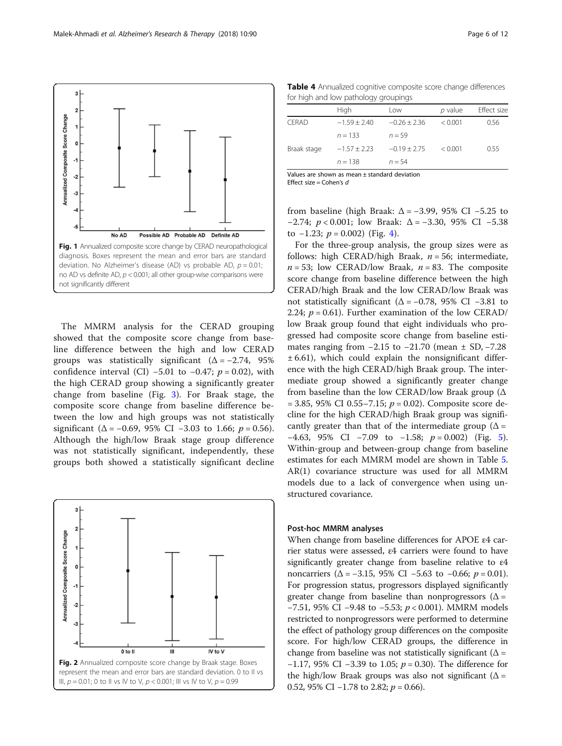<span id="page-6-0"></span>

The MMRM analysis for the CERAD grouping showed that the composite score change from baseline difference between the high and low CERAD groups was statistically significant  $(\Delta = -2.74, 95\%)$ confidence interval (CI) –5.01 to –0.47;  $p = 0.02$ ), with the high CERAD group showing a significantly greater change from baseline (Fig. [3\)](#page-7-0). For Braak stage, the composite score change from baseline difference between the low and high groups was not statistically significant ( $\Delta$  = -0.69, 95% CI -3.03 to 1.66;  $p = 0.56$ ). Although the high/low Braak stage group difference was not statistically significant, independently, these groups both showed a statistically significant decline



Table 4 Annualized cognitive composite score change differences for high and low pathology groupings

|             | High           | Low              | $p$ value | Effect size |
|-------------|----------------|------------------|-----------|-------------|
| CERAD       | $-1.59 + 2.40$ | $-0.26 \pm 2.36$ | < 0.001   | 0.56        |
|             | $n = 133$      | $n = 59$         |           |             |
| Braak stage | $-1.57 + 2.23$ | $-0.19 + 2.75$   | < 0.001   | 0.55        |
|             | $n = 138$      | $n = 54$         |           |             |
|             |                |                  |           |             |

Values are shown as mean ± standard deviation Effect size = Cohen's  $d$ 

from baseline (high Braak:  $\Delta$  = −3.99, 95% CI −5.25 to −2.74;  $p < 0.001$ ; low Braak:  $\Delta = -3.30$ , 95% CI -5.38 to  $-1.23$ ;  $p = 0.002$ ) (Fig. [4\)](#page-8-0).

For the three-group analysis, the group sizes were as follows: high CERAD/high Braak,  $n = 56$ ; intermediate,  $n = 53$ ; low CERAD/low Braak,  $n = 83$ . The composite score change from baseline difference between the high CERAD/high Braak and the low CERAD/low Braak was not statistically significant ( $\Delta$  = −0.78, 95% CI −3.81 to 2.24;  $p = 0.61$ ). Further examination of the low CERAD/ low Braak group found that eight individuals who progressed had composite score change from baseline estimates ranging from  $-2.15$  to  $-21.70$  (mean  $±$  SD,  $-7.28$  $± 6.61$ ), which could explain the nonsignificant difference with the high CERAD/high Braak group. The intermediate group showed a significantly greater change from baseline than the low CERAD/low Braak group (Δ  $= 3.85, 95\% \text{ CI } 0.55 - 7.15; p = 0.02$ . Composite score decline for the high CERAD/high Braak group was significantly greater than that of the intermediate group ( $\Delta$  = −4.63, 9[5](#page-8-0)% CI −7.09 to −1.58;  $p = 0.002$ ) (Fig. 5). Within-group and between-group change from baseline estimates for each MMRM model are shown in Table [5](#page-9-0). AR(1) covariance structure was used for all MMRM models due to a lack of convergence when using unstructured covariance.

#### Post-hoc MMRM analyses

When change from baseline differences for APOE ε4 carrier status were assessed, ε4 carriers were found to have significantly greater change from baseline relative to ε4 noncarriers ( $\Delta$  = −3.15, 95% CI −5.63 to −0.66;  $p = 0.01$ ). For progression status, progressors displayed significantly greater change from baseline than nonprogressors ( $\Delta$  = −7.51, 95% CI −9.48 to −5.53; p < 0.001). MMRM models restricted to nonprogressors were performed to determine the effect of pathology group differences on the composite score. For high/low CERAD groups, the difference in change from baseline was not statistically significant ( $\Delta$  = −1.17, 95% CI −3.39 to 1.05;  $p = 0.30$ ). The difference for the high/low Braak groups was also not significant ( $\Delta$  = 0.52, 95% CI –1.78 to 2.82;  $p = 0.66$ ).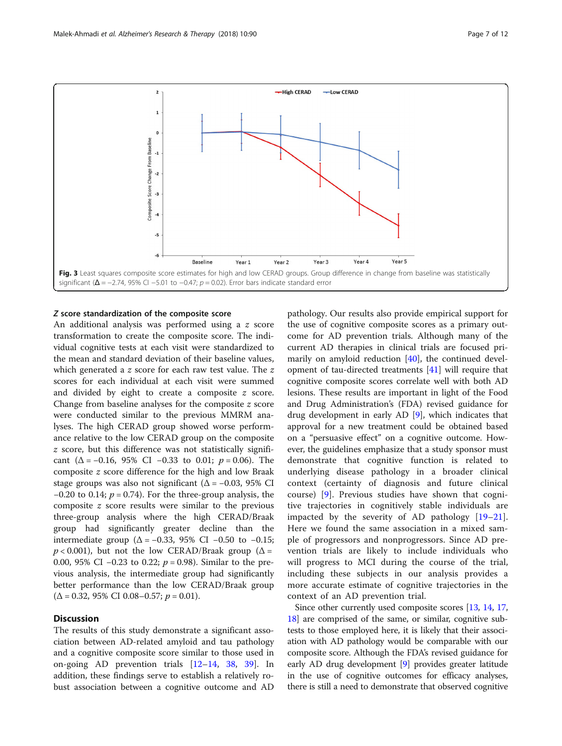<span id="page-7-0"></span>

#### Z score standardization of the composite score

An additional analysis was performed using a z score transformation to create the composite score. The individual cognitive tests at each visit were standardized to the mean and standard deviation of their baseline values, which generated a z score for each raw test value. The z scores for each individual at each visit were summed and divided by eight to create a composite z score. Change from baseline analyses for the composite z score were conducted similar to the previous MMRM analyses. The high CERAD group showed worse performance relative to the low CERAD group on the composite z score, but this difference was not statistically significant ( $\Delta$  = −0.16, 95% CI −0.33 to 0.01;  $p = 0.06$ ). The composite z score difference for the high and low Braak stage groups was also not significant ( $\Delta$  = -0.03, 95% CI  $-0.20$  to 0.14;  $p = 0.74$ ). For the three-group analysis, the composite z score results were similar to the previous three-group analysis where the high CERAD/Braak group had significantly greater decline than the intermediate group ( $\Delta$  = −0.33, 95% CI −0.50 to −0.15;  $p < 0.001$ ), but not the low CERAD/Braak group ( $\Delta =$ 0.00, 95% CI −0.23 to 0.22; *p* = 0.98). Similar to the previous analysis, the intermediate group had significantly better performance than the low CERAD/Braak group  $(\Delta = 0.32, 95\% \text{ CI } 0.08 - 0.57; p = 0.01).$ 

## **Discussion**

The results of this study demonstrate a significant association between AD-related amyloid and tau pathology and a cognitive composite score similar to those used in on-going AD prevention trials [[12](#page-11-0)–[14](#page-11-0), [38,](#page-12-0) [39](#page-12-0)]. In addition, these findings serve to establish a relatively robust association between a cognitive outcome and AD

pathology. Our results also provide empirical support for the use of cognitive composite scores as a primary outcome for AD prevention trials. Although many of the current AD therapies in clinical trials are focused primarily on amyloid reduction [\[40](#page-12-0)], the continued development of tau-directed treatments [\[41\]](#page-12-0) will require that cognitive composite scores correlate well with both AD lesions. These results are important in light of the Food and Drug Administration's (FDA) revised guidance for drug development in early AD [\[9](#page-11-0)], which indicates that approval for a new treatment could be obtained based on a "persuasive effect" on a cognitive outcome. However, the guidelines emphasize that a study sponsor must demonstrate that cognitive function is related to underlying disease pathology in a broader clinical context (certainty of diagnosis and future clinical course) [[9\]](#page-11-0). Previous studies have shown that cognitive trajectories in cognitively stable individuals are impacted by the severity of AD pathology [\[19](#page-11-0)–[21](#page-11-0)]. Here we found the same association in a mixed sample of progressors and nonprogressors. Since AD prevention trials are likely to include individuals who will progress to MCI during the course of the trial, including these subjects in our analysis provides a more accurate estimate of cognitive trajectories in the context of an AD prevention trial.

Since other currently used composite scores [\[13,](#page-11-0) [14,](#page-11-0) [17](#page-11-0), [18](#page-11-0)] are comprised of the same, or similar, cognitive subtests to those employed here, it is likely that their association with AD pathology would be comparable with our composite score. Although the FDA's revised guidance for early AD drug development [\[9\]](#page-11-0) provides greater latitude in the use of cognitive outcomes for efficacy analyses, there is still a need to demonstrate that observed cognitive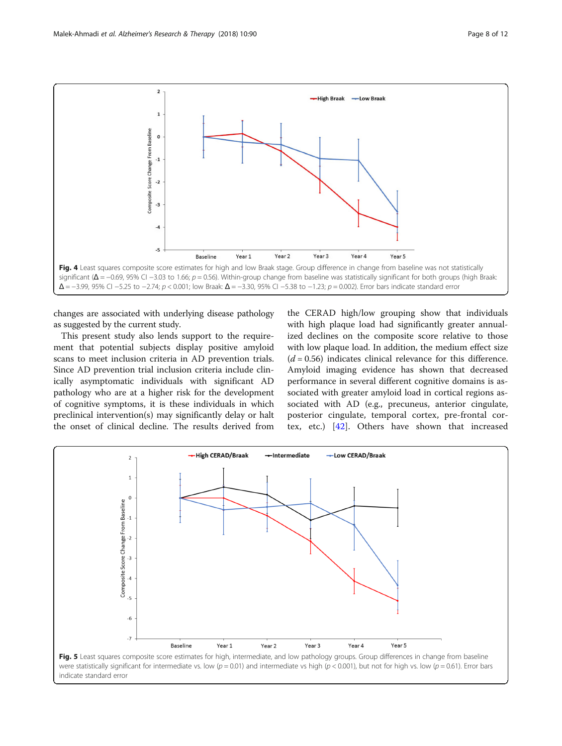<span id="page-8-0"></span>

changes are associated with underlying disease pathology as suggested by the current study.

This present study also lends support to the requirement that potential subjects display positive amyloid scans to meet inclusion criteria in AD prevention trials. Since AD prevention trial inclusion criteria include clinically asymptomatic individuals with significant AD pathology who are at a higher risk for the development of cognitive symptoms, it is these individuals in which preclinical intervention(s) may significantly delay or halt the onset of clinical decline. The results derived from

the CERAD high/low grouping show that individuals with high plaque load had significantly greater annualized declines on the composite score relative to those with low plaque load. In addition, the medium effect size  $(d = 0.56)$  indicates clinical relevance for this difference. Amyloid imaging evidence has shown that decreased performance in several different cognitive domains is associated with greater amyloid load in cortical regions associated with AD (e.g., precuneus, anterior cingulate, posterior cingulate, temporal cortex, pre-frontal cortex, etc.) [[42\]](#page-12-0). Others have shown that increased

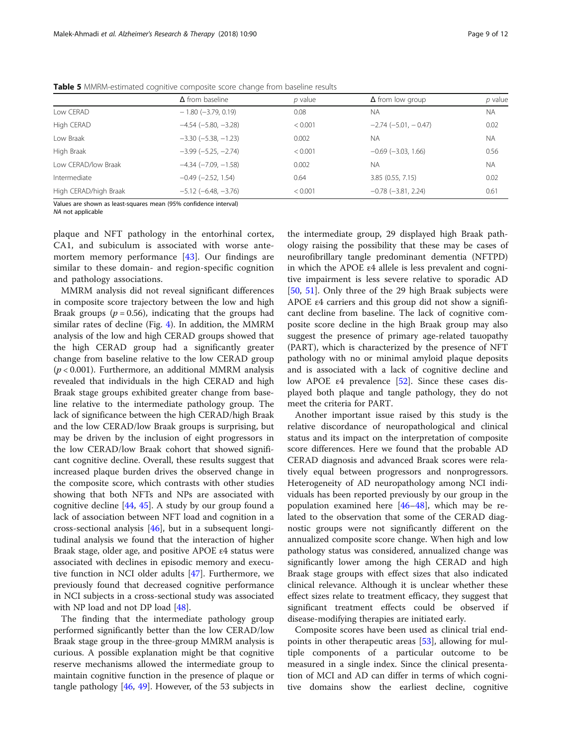|                       | $\Delta$ from baseline        | $p$ value | $\Delta$ from low group   | $p$ value |
|-----------------------|-------------------------------|-----------|---------------------------|-----------|
| Low CERAD             | $-1.80$ (-3.79, 0.19)         | 0.08      | <b>NA</b>                 | <b>NA</b> |
| High CERAD            | $-4.54$ $(-5.80, -3.28)$      | < 0.001   | $-2.74(-5.01, -0.47)$     | 0.02      |
| Low Braak             | $-3.30$ $(-5.38, -1.23)$      | 0.002     | <b>NA</b>                 | <b>NA</b> |
| High Braak            | $-3.99$ ( $-5.25$ , $-2.74$ ) | < 0.001   | $-0.69$ ( $-3.03$ , 1.66) | 0.56      |
| Low CERAD/low Braak   | $-4.34$ $(-7.09, -1.58)$      | 0.002     | <b>NA</b>                 | <b>NA</b> |
| Intermediate          | $-0.49$ $(-2.52, 1.54)$       | 0.64      | 3.85(0.55, 7.15)          | 0.02      |
| High CERAD/high Braak | $-5.12$ ( $-6.48$ , $-3.76$ ) | < 0.001   | $-0.78$ $(-3.81, 2.24)$   | 0.61      |

<span id="page-9-0"></span>Table 5 MMRM-estimated cognitive composite score change from baseline results

Values are shown as least-squares mean (95% confidence interval) NA not applicable

plaque and NFT pathology in the entorhinal cortex, CA1, and subiculum is associated with worse antemortem memory performance [\[43](#page-12-0)]. Our findings are similar to these domain- and region-specific cognition and pathology associations.

MMRM analysis did not reveal significant differences in composite score trajectory between the low and high Braak groups ( $p = 0.56$ ), indicating that the groups had similar rates of decline (Fig. [4\)](#page-8-0). In addition, the MMRM analysis of the low and high CERAD groups showed that the high CERAD group had a significantly greater change from baseline relative to the low CERAD group  $(p < 0.001)$ . Furthermore, an additional MMRM analysis revealed that individuals in the high CERAD and high Braak stage groups exhibited greater change from baseline relative to the intermediate pathology group. The lack of significance between the high CERAD/high Braak and the low CERAD/low Braak groups is surprising, but may be driven by the inclusion of eight progressors in the low CERAD/low Braak cohort that showed significant cognitive decline. Overall, these results suggest that increased plaque burden drives the observed change in the composite score, which contrasts with other studies showing that both NFTs and NPs are associated with cognitive decline  $[44, 45]$  $[44, 45]$  $[44, 45]$  $[44, 45]$ . A study by our group found a lack of association between NFT load and cognition in a cross-sectional analysis [\[46](#page-12-0)], but in a subsequent longitudinal analysis we found that the interaction of higher Braak stage, older age, and positive APOE ε4 status were associated with declines in episodic memory and executive function in NCI older adults [\[47](#page-12-0)]. Furthermore, we previously found that decreased cognitive performance in NCI subjects in a cross-sectional study was associated with NP load and not DP load [\[48](#page-12-0)].

The finding that the intermediate pathology group performed significantly better than the low CERAD/low Braak stage group in the three-group MMRM analysis is curious. A possible explanation might be that cognitive reserve mechanisms allowed the intermediate group to maintain cognitive function in the presence of plaque or tangle pathology [\[46,](#page-12-0) [49](#page-12-0)]. However, of the 53 subjects in

the intermediate group, 29 displayed high Braak pathology raising the possibility that these may be cases of neurofibrillary tangle predominant dementia (NFTPD) in which the APOE ε4 allele is less prevalent and cognitive impairment is less severe relative to sporadic AD [[50,](#page-12-0) [51\]](#page-12-0). Only three of the 29 high Braak subjects were APOE ε4 carriers and this group did not show a significant decline from baseline. The lack of cognitive composite score decline in the high Braak group may also suggest the presence of primary age-related tauopathy (PART), which is characterized by the presence of NFT pathology with no or minimal amyloid plaque deposits and is associated with a lack of cognitive decline and low APOE ε4 prevalence [\[52](#page-12-0)]. Since these cases displayed both plaque and tangle pathology, they do not meet the criteria for PART.

Another important issue raised by this study is the relative discordance of neuropathological and clinical status and its impact on the interpretation of composite score differences. Here we found that the probable AD CERAD diagnosis and advanced Braak scores were relatively equal between progressors and nonprogressors. Heterogeneity of AD neuropathology among NCI individuals has been reported previously by our group in the population examined here [[46](#page-12-0)–[48](#page-12-0)], which may be related to the observation that some of the CERAD diagnostic groups were not significantly different on the annualized composite score change. When high and low pathology status was considered, annualized change was significantly lower among the high CERAD and high Braak stage groups with effect sizes that also indicated clinical relevance. Although it is unclear whether these effect sizes relate to treatment efficacy, they suggest that significant treatment effects could be observed if disease-modifying therapies are initiated early.

Composite scores have been used as clinical trial endpoints in other therapeutic areas [\[53](#page-12-0)], allowing for multiple components of a particular outcome to be measured in a single index. Since the clinical presentation of MCI and AD can differ in terms of which cognitive domains show the earliest decline, cognitive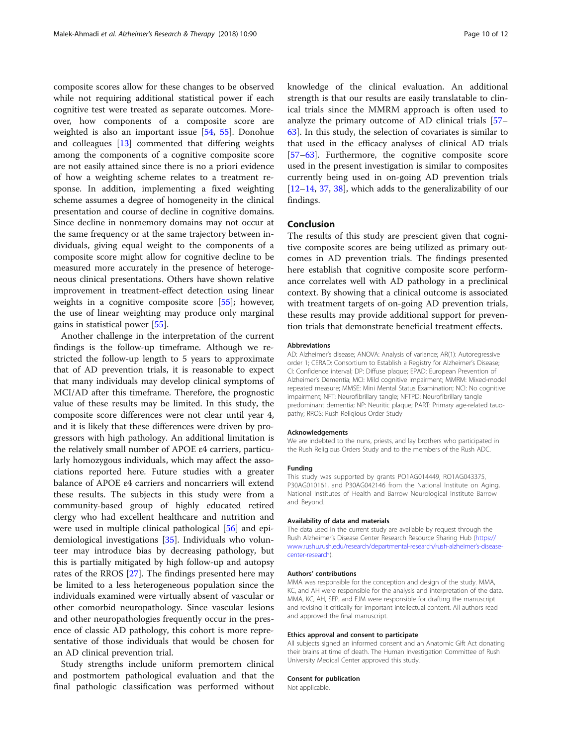composite scores allow for these changes to be observed while not requiring additional statistical power if each cognitive test were treated as separate outcomes. Moreover, how components of a composite score are weighted is also an important issue [[54](#page-12-0), [55\]](#page-12-0). Donohue and colleagues [[13\]](#page-11-0) commented that differing weights among the components of a cognitive composite score are not easily attained since there is no a priori evidence of how a weighting scheme relates to a treatment response. In addition, implementing a fixed weighting scheme assumes a degree of homogeneity in the clinical presentation and course of decline in cognitive domains. Since decline in nonmemory domains may not occur at the same frequency or at the same trajectory between individuals, giving equal weight to the components of a composite score might allow for cognitive decline to be measured more accurately in the presence of heterogeneous clinical presentations. Others have shown relative improvement in treatment-effect detection using linear weights in a cognitive composite score [\[55](#page-12-0)]; however, the use of linear weighting may produce only marginal gains in statistical power [[55](#page-12-0)].

Another challenge in the interpretation of the current findings is the follow-up timeframe. Although we restricted the follow-up length to 5 years to approximate that of AD prevention trials, it is reasonable to expect that many individuals may develop clinical symptoms of MCI/AD after this timeframe. Therefore, the prognostic value of these results may be limited. In this study, the composite score differences were not clear until year 4, and it is likely that these differences were driven by progressors with high pathology. An additional limitation is the relatively small number of APOE ε4 carriers, particularly homozygous individuals, which may affect the associations reported here. Future studies with a greater balance of APOE ε4 carriers and noncarriers will extend these results. The subjects in this study were from a community-based group of highly educated retired clergy who had excellent healthcare and nutrition and were used in multiple clinical pathological [[56](#page-12-0)] and epidemiological investigations [[35\]](#page-11-0). Individuals who volunteer may introduce bias by decreasing pathology, but this is partially mitigated by high follow-up and autopsy rates of the RROS [\[27\]](#page-11-0). The findings presented here may be limited to a less heterogeneous population since the individuals examined were virtually absent of vascular or other comorbid neuropathology. Since vascular lesions and other neuropathologies frequently occur in the presence of classic AD pathology, this cohort is more representative of those individuals that would be chosen for an AD clinical prevention trial.

Study strengths include uniform premortem clinical and postmortem pathological evaluation and that the final pathologic classification was performed without knowledge of the clinical evaluation. An additional strength is that our results are easily translatable to clinical trials since the MMRM approach is often used to analyze the primary outcome of AD clinical trials [[57](#page-12-0)– [63\]](#page-12-0). In this study, the selection of covariates is similar to that used in the efficacy analyses of clinical AD trials [[57](#page-12-0)–[63](#page-12-0)]. Furthermore, the cognitive composite score used in the present investigation is similar to composites currently being used in on-going AD prevention trials [[12](#page-11-0)–[14](#page-11-0), [37,](#page-12-0) [38\]](#page-12-0), which adds to the generalizability of our findings.

#### Conclusion

The results of this study are prescient given that cognitive composite scores are being utilized as primary outcomes in AD prevention trials. The findings presented here establish that cognitive composite score performance correlates well with AD pathology in a preclinical context. By showing that a clinical outcome is associated with treatment targets of on-going AD prevention trials, these results may provide additional support for prevention trials that demonstrate beneficial treatment effects.

#### Abbreviations

AD: Alzheimer's disease; ANOVA: Analysis of variance; AR(1): Autoregressive order 1; CERAD: Consortium to Establish a Registry for Alzheimer's Disease; CI: Confidence interval; DP: Diffuse plaque; EPAD: European Prevention of Alzheimer's Dementia; MCI: Mild cognitive impairment; MMRM: Mixed-model repeated measure; MMSE: Mini Mental Status Examination; NCI: No cognitive impairment; NFT: Neurofibrillary tangle; NFTPD: Neurofibrillary tangle predominant dementia; NP: Neuritic plaque; PART: Primary age-related tauopathy; RROS: Rush Religious Order Study

#### Acknowledgements

We are indebted to the nuns, priests, and lay brothers who participated in the Rush Religious Orders Study and to the members of the Rush ADC.

#### Funding

This study was supported by grants PO1AG014449, RO1AG043375, P30AG010161, and P30AG042146 from the National Institute on Aging, National Institutes of Health and Barrow Neurological Institute Barrow and Beyond.

#### Availability of data and materials

The data used in the current study are available by request through the Rush Alzheimer's Disease Center Research Resource Sharing Hub [\(https://](https://www.rushu.rush.edu/research/departmental-research/rush-alzheimer%E2%80%99s-disease-center-research) [www.rushu.rush.edu/research/departmental-research/rush-alzheimer](https://www.rushu.rush.edu/research/departmental-research/rush-alzheimer%E2%80%99s-disease-center-research)'s-disease[center-research](https://www.rushu.rush.edu/research/departmental-research/rush-alzheimer%E2%80%99s-disease-center-research)).

#### Authors' contributions

MMA was responsible for the conception and design of the study. MMA, KC, and AH were responsible for the analysis and interpretation of the data. MMA, KC, AH, SEP, and EJM were responsible for drafting the manuscript and revising it critically for important intellectual content. All authors read and approved the final manuscript.

#### Ethics approval and consent to participate

All subjects signed an informed consent and an Anatomic Gift Act donating their brains at time of death. The Human Investigation Committee of Rush University Medical Center approved this study.

#### Consent for publication

Not applicable.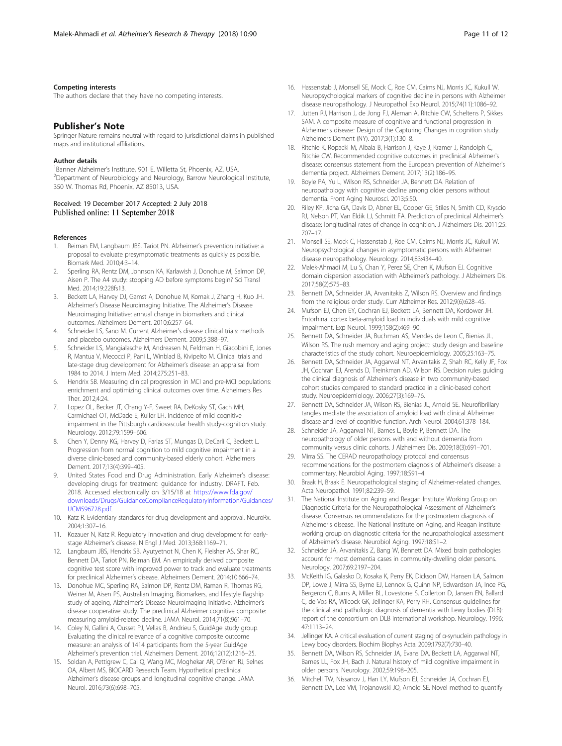#### <span id="page-11-0"></span>Competing interests

The authors declare that they have no competing interests.

#### Publisher's Note

Springer Nature remains neutral with regard to jurisdictional claims in published maps and institutional affiliations.

#### Author details

1<br>Banner Alzheimer's Institute, 901 E. Willetta St, Phoenix, AZ, USA.<br>2Department of Neurobiology and Neurology, Barrow Neurologic <sup>2</sup>Department of Neurobiology and Neurology, Barrow Neurological Institute, 350 W. Thomas Rd, Phoenix, AZ 85013, USA.

#### Received: 19 December 2017 Accepted: 2 July 2018 Published online: 11 September 2018

#### References

- 1. Reiman EM, Langbaum JBS, Tariot PN. Alzheimer's prevention initiative: a proposal to evaluate presymptomatic treatments as quickly as possible. Biomark Med. 2010;4:3–14.
- 2. Sperling RA, Rentz DM, Johnson KA, Karlawish J, Donohue M, Salmon DP, Aisen P. The A4 study: stopping AD before symptoms begin? Sci Transl Med. 2014;19:228fs13.
- 3. Beckett LA, Harvey DJ, Gamst A, Donohue M, Kornak J, Zhang H, Kuo JH. Alzheimer's Disease Neuroimaging Initiative. The Alzheimer's Disease Neuroimaging Initiative: annual change in biomarkers and clinical outcomes. Alzheimers Dement. 2010;6:257–64.
- 4. Schneider LS, Sano M. Current Alzheimer's disease clinical trials: methods and placebo outcomes. Alzheimers Dement. 2009;5:388–97.
- 5. Schneider LS, Mangialasche M, Andreasen N, Feldman H, Giacobini E, Jones R, Mantua V, Mecocci P, Pani L, Winblad B, Kivipelto M. Clinical trials and late-stage drug development for Alzheimer's disease: an appraisal from 1984 to 2014. J Intern Med. 2014;275:251–83.
- 6. Hendrix SB. Measuring clinical progression in MCI and pre-MCI populations: enrichment and optimizing clinical outcomes over time. Alzheimers Res Ther. 2012;4:24.
- Lopez OL, Becker JT, Chang Y-F, Sweet RA, DeKosky ST, Gach MH, Carmichael OT, McDade E, Kuller LH. Incidence of mild cognitive impairment in the Pittsburgh cardiovascular health study-cognition study. Neurology. 2012;79:1599–606.
- 8. Chen Y, Denny KG, Harvey D, Farias ST, Mungas D, DeCarli C, Beckett L. Progression from normal cognition to mild cognitive impairment in a diverse clinic-based and community-based elderly cohort. Alzheimers Dement. 2017;13(4):399–405.
- 9. United States Food and Drug Administration. Early Alzheimer's disease: developing drugs for treatment: guidance for industry. DRAFT. Feb. 2018. Accessed electronically on 3/15/18 at [https://www.fda.gov/](https://www.fda.gov/downloads/Drugs/GuidanceComplianceRegulatoryInformation/Guidances/UCM596728.pdf) [downloads/Drugs/GuidanceComplianceRegulatoryInformation/Guidances/](https://www.fda.gov/downloads/Drugs/GuidanceComplianceRegulatoryInformation/Guidances/UCM596728.pdf) [UCM596728.pdf](https://www.fda.gov/downloads/Drugs/GuidanceComplianceRegulatoryInformation/Guidances/UCM596728.pdf).
- 10. Katz R. Evidentiary standards for drug development and approval. NeuroRx. 2004;1:307–16.
- 11. Kozauer N, Katz R. Regulatory innovation and drug development for earlystage Alzheimer's disease. N Engl J Med. 2013;368:1169–71.
- 12. Langbaum JBS, Hendrix SB, Ayutyetnot N, Chen K, Fleisher AS, Shar RC, Bennett DA, Tariot PN, Reiman EM. An empirically derived composite cognitive test score with improved power to track and evaluate treatments for preclinical Alzheimer's disease. Alzheimers Dement. 2014;10:666–74.
- 13. Donohue MC, Sperling RA, Salmon DP, Rentz DM, Raman R, Thomas RG, Weiner M, Aisen PS, Australian Imaging, Biomarkers, and lifestyle flagship study of ageing, Alzheimer's Disease Neuroimaging Initiative, Alzheimer's disease cooperative study. The preclinical Alzheimer cognitive composite: measuring amyloid-related decline. JAMA Neurol. 2014;71(8):961–70.
- 14. Coley N, Gallini A, Ousset PJ, Vellas B, Andrieu S, GuidAge study group. Evaluating the clinical relevance of a cognitive composite outcome measure: an analysis of 1414 participants from the 5-year GuidAge Alzheimer's prevention trial. Alzheimers Dement. 2016;12(12):1216–25.
- 15. Soldan A, Pettigrew C, Cai Q, Wang MC, Moghekar AR, O'Brien RJ, Selnes OA, Albert MS, BIOCARD Research Team. Hypothetical preclinical Alzheimer's disease groups and longitudinal cognitive change. JAMA Neurol. 2016;73(6):698–705.
- 16. Hassenstab J, Monsell SE, Mock C, Roe CM, Caims NJ, Morris JC, Kukull W. Neuropsychological markers of cognitive decline in persons with Alzheimer disease neuropathology. J Neuropathol Exp Neurol. 2015;74(11):1086–92.
- 17. Jutten RJ, Harrison J, de Jong FJ, Aleman A, Ritchie CW, Scheltens P, Sikkes SAM. A composite measure of cognitive and functional progression in Alzheimer's disease: Design of the Capturing Changes in cognition study. Alzheimers Dement (NY). 2017;3(1):130–8.
- 18. Ritchie K, Ropacki M, Albala B, Harrison J, Kaye J, Kramer J, Randolph C, Ritchie CW. Recommended cognitive outcomes in preclinical Alzheimer's disease: consensus statement from the European prevention of Alzheimer's dementia project. Alzheimers Dement. 2017;13(2):186–95.
- 19. Boyle PA, Yu L, Wilson RS, Schneider JA, Bennett DA. Relation of neuropathology with cognitive decline among older persons without dementia. Front Aging Neurosci. 2013;5:50.
- 20. Riley KP, Jicha GA, Davis D, Abner EL, Cooper GE, Stiles N, Smith CD, Kryscio RJ, Nelson PT, Van Eldik LJ, Schmitt FA. Prediction of preclinical Alzheimer's disease: longitudinal rates of change in cognition. J Alzheimers Dis. 2011;25: 707–17.
- 21. Monsell SE, Mock C, Hassenstab J, Roe CM, Cairns NJ, Morris JC, Kukull W. Neuropsychological changes in asymptomatic persons with Alzheimer disease neuropathology. Neurology. 2014;83:434–40.
- 22. Malek-Ahmadi M, Lu S, Chan Y, Perez SE, Chen K, Mufson EJ. Cognitive domain dispersion association with Alzheimer's pathology. J Alzheimers Dis. 2017;58(2):575–83.
- 23. Bennett DA, Schneider JA, Arvanitakis Z, Wilson RS. Overview and findings from the religious order study. Curr Alzheimer Res. 2012;9(6):628–45.
- 24. Mufson EJ, Chen EY, Cochran EJ, Beckett LA, Bennett DA, Kordower JH. Entorhinal cortex beta-amyloid load in individuals with mild cognitive impairment. Exp Neurol. 1999;158(2):469–90.
- 25. Bennett DA, Schneider JA, Buchman AS, Mendes de Leon C, Bienias JL, Wilson RS. The rush memory and aging project: study design and baseline characteristics of the study cohort. Neuroepidemiology. 2005;25:163–75.
- 26. Bennett DA, Schneider JA, Aggarwal NT, Arvanitakis Z, Shah RC, Kelly JF, Fox JH, Cochran EJ, Arends D, Treinkman AD, Wilson RS. Decision rules guiding the clinical diagnosis of Alzheimer's disease in two community-based cohort studies compared to standard practice in a clinic-based cohort study. Neuroepidemiology. 2006;27(3):169–76.
- 27. Bennett DA, Schneider JA, Wilson RS, Bienias JL, Arnold SE. Neurofibrillary tangles mediate the association of amyloid load with clinical Alzheimer disease and level of cognitive function. Arch Neurol. 2004;61:378–184.
- 28. Schneider JA, Aggarwal NT, Barnes L, Boyle P, Bennett DA. The neuropathology of older persons with and without dementia from community versus clinic cohorts. J Alzheimers Dis. 2009;18(3):691–701.
- 29. Mirra SS. The CERAD neuropathology protocol and consensus recommendations for the postmortem diagnosis of Alzheimer's disease: a commentary. Neurobiol Aging. 1997;18:S91–4.
- 30. Braak H, Braak E. Neuropathological staging of Alzheimer-related changes. Acta Neuropathol. 1991;82:239–59.
- 31. The National Institute on Aging and Reagan Institute Working Group on Diagnostic Criteria for the Neuropathological Assessment of Alzheimer's disease. Consensus recommendations for the postmortem diagnosis of Alzheimer's disease. The National Institute on Aging, and Reagan institute working group on diagnostic criteria for the neuropathological assessment of Alzheimer's disease. Neurobiol Aging. 1997;18:S1–2.
- 32. Schneider JA, Arvanitakis Z, Bang W, Bennett DA. Mixed brain pathologies account for most dementia cases in community-dwelling older persons. Neurology. 2007;69:2197–204.
- 33. McKeith IG, Galasko D, Kosaka K, Perry EK, Dickson DW, Hansen LA, Salmon DP, Lowe J, Mirra SS, Byrne EJ, Lennox G, Quinn NP, Edwardson JA, Ince PG, Bergeron C, Burns A, Miller BL, Lovestone S, Collerton D, Jansen EN, Ballard C, de Vos RA, Wilcock GK, Jellinger KA, Perry RH. Consensus guidelines for the clinical and pathologic diagnosis of dementia with Lewy bodies (DLB): report of the consortium on DLB international workshop. Neurology. 1996; 47:1113–24.
- 34. Jellinger KA. A critical evaluation of current staging of α-synuclein pathology in Lewy body disorders. Biochim Biophys Acta. 2009;1792(7):730–40.
- 35. Bennett DA, Wilson RS, Schneider JA, Evans DA, Beckett LA, Aggarwal NT, Barnes LL, Fox JH, Bach J. Natural history of mild cognitive impairment in older persons. Neurology. 2002;59:198–205.
- 36. Mitchell TW, Nissanov J, Han LY, Mufson EJ, Schneider JA, Cochran EJ, Bennett DA, Lee VM, Trojanowski JQ, Arnold SE. Novel method to quantify